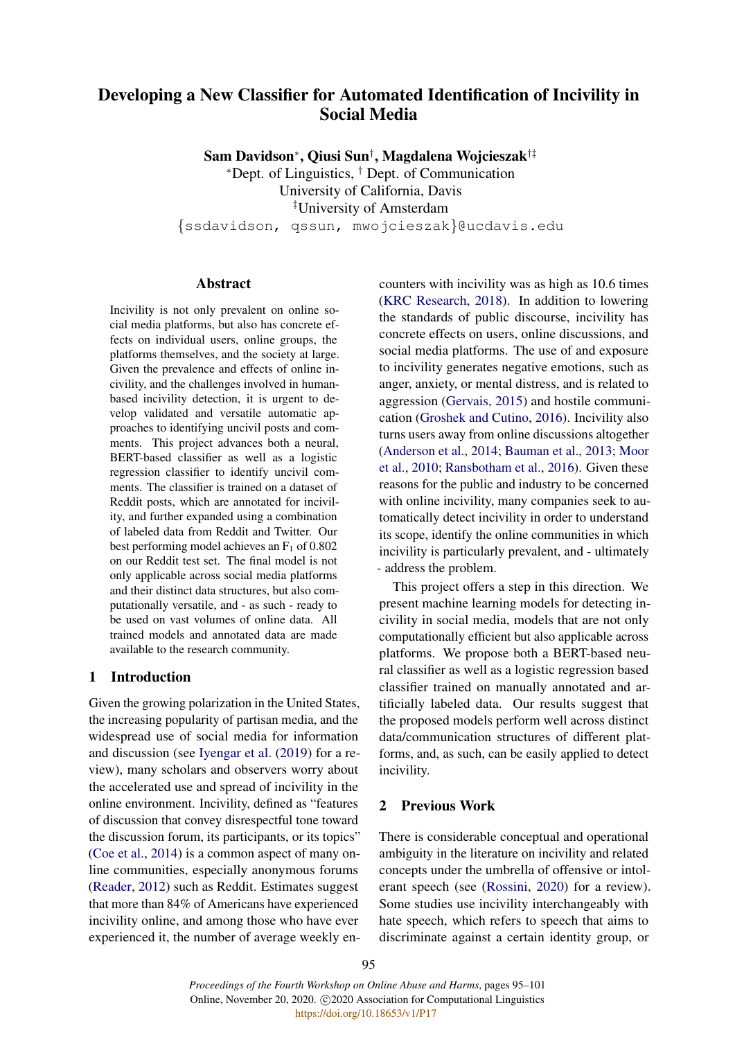# Developing a New Classifier for Automated Identification of Incivility in Social Media

Sam Davidson<sup>∗</sup> , Qiusi Sun† , Magdalena Wojcieszak†‡

<sup>∗</sup>Dept. of Linguistics, † Dept. of Communication University of California, Davis ‡University of Amsterdam

{ssdavidson, qssun, mwojcieszak}@ucdavis.edu

#### Abstract

Incivility is not only prevalent on online social media platforms, but also has concrete effects on individual users, online groups, the platforms themselves, and the society at large. Given the prevalence and effects of online incivility, and the challenges involved in humanbased incivility detection, it is urgent to develop validated and versatile automatic approaches to identifying uncivil posts and comments. This project advances both a neural, BERT-based classifier as well as a logistic regression classifier to identify uncivil comments. The classifier is trained on a dataset of Reddit posts, which are annotated for incivility, and further expanded using a combination of labeled data from Reddit and Twitter. Our best performing model achieves an  $F_1$  of 0.802 on our Reddit test set. The final model is not only applicable across social media platforms and their distinct data structures, but also computationally versatile, and - as such - ready to be used on vast volumes of online data. All trained models and annotated data are made available to the research community.

# 1 Introduction

Given the growing polarization in the United States, the increasing popularity of partisan media, and the widespread use of social media for information and discussion (see [Iyengar et al.](#page-5-0) [\(2019\)](#page-5-0) for a review), many scholars and observers worry about the accelerated use and spread of incivility in the online environment. Incivility, defined as "features of discussion that convey disrespectful tone toward the discussion forum, its participants, or its topics" [\(Coe et al.,](#page-5-1) [2014\)](#page-5-1) is a common aspect of many online communities, especially anonymous forums [\(Reader,](#page-6-0) [2012\)](#page-6-0) such as Reddit. Estimates suggest that more than 84% of Americans have experienced incivility online, and among those who have ever experienced it, the number of average weekly en-

counters with incivility was as high as 10.6 times [\(KRC Research,](#page-5-2) [2018\)](#page-5-2). In addition to lowering the standards of public discourse, incivility has concrete effects on users, online discussions, and social media platforms. The use of and exposure to incivility generates negative emotions, such as anger, anxiety, or mental distress, and is related to aggression [\(Gervais,](#page-5-3) [2015\)](#page-5-3) and hostile communication [\(Groshek and Cutino,](#page-5-4) [2016\)](#page-5-4). Incivility also turns users away from online discussions altogether [\(Anderson et al.,](#page-5-5) [2014;](#page-5-5) [Bauman et al.,](#page-5-6) [2013;](#page-5-6) [Moor](#page-5-7) [et al.,](#page-5-7) [2010;](#page-5-7) [Ransbotham et al.,](#page-6-1) [2016\)](#page-6-1). Given these reasons for the public and industry to be concerned with online incivility, many companies seek to automatically detect incivility in order to understand its scope, identify the online communities in which incivility is particularly prevalent, and - ultimately - address the problem.

This project offers a step in this direction. We present machine learning models for detecting incivility in social media, models that are not only computationally efficient but also applicable across platforms. We propose both a BERT-based neural classifier as well as a logistic regression based classifier trained on manually annotated and artificially labeled data. Our results suggest that the proposed models perform well across distinct data/communication structures of different platforms, and, as such, can be easily applied to detect incivility.

# 2 Previous Work

There is considerable conceptual and operational ambiguity in the literature on incivility and related concepts under the umbrella of offensive or intolerant speech (see [\(Rossini,](#page-6-2) [2020\)](#page-6-2) for a review). Some studies use incivility interchangeably with hate speech, which refers to speech that aims to discriminate against a certain identity group, or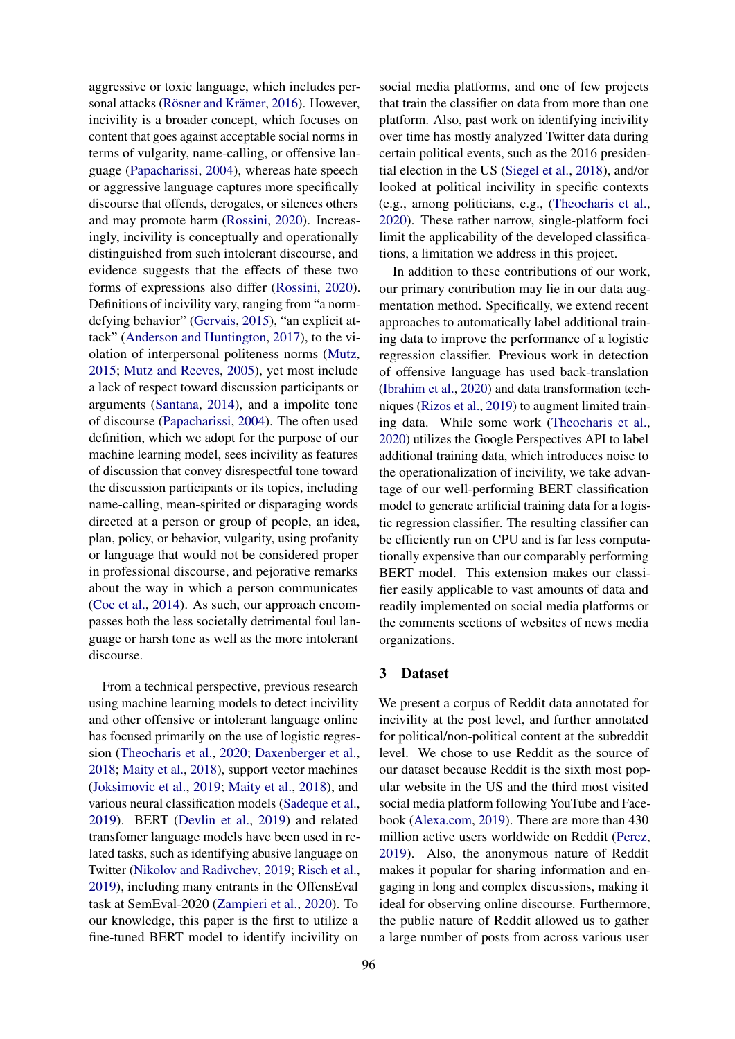aggressive or toxic language, which includes per-sonal attacks (Rösner and Krämer, [2016\)](#page-6-3). However, incivility is a broader concept, which focuses on content that goes against acceptable social norms in terms of vulgarity, name-calling, or offensive language [\(Papacharissi,](#page-6-4) [2004\)](#page-6-4), whereas hate speech or aggressive language captures more specifically discourse that offends, derogates, or silences others and may promote harm [\(Rossini,](#page-6-2) [2020\)](#page-6-2). Increasingly, incivility is conceptually and operationally distinguished from such intolerant discourse, and evidence suggests that the effects of these two forms of expressions also differ [\(Rossini,](#page-6-2) [2020\)](#page-6-2). Definitions of incivility vary, ranging from "a normdefying behavior" [\(Gervais,](#page-5-3) [2015\)](#page-5-3), "an explicit attack" [\(Anderson and Huntington,](#page-5-8) [2017\)](#page-5-8), to the violation of interpersonal politeness norms [\(Mutz,](#page-5-9) [2015;](#page-5-9) [Mutz and Reeves,](#page-6-5) [2005\)](#page-6-5), yet most include a lack of respect toward discussion participants or arguments [\(Santana,](#page-6-6) [2014\)](#page-6-6), and a impolite tone of discourse [\(Papacharissi,](#page-6-4) [2004\)](#page-6-4). The often used definition, which we adopt for the purpose of our machine learning model, sees incivility as features of discussion that convey disrespectful tone toward the discussion participants or its topics, including name-calling, mean-spirited or disparaging words directed at a person or group of people, an idea, plan, policy, or behavior, vulgarity, using profanity or language that would not be considered proper in professional discourse, and pejorative remarks about the way in which a person communicates [\(Coe et al.,](#page-5-1) [2014\)](#page-5-1). As such, our approach encompasses both the less societally detrimental foul language or harsh tone as well as the more intolerant discourse.

From a technical perspective, previous research using machine learning models to detect incivility and other offensive or intolerant language online has focused primarily on the use of logistic regression [\(Theocharis et al.,](#page-6-7) [2020;](#page-6-7) [Daxenberger et al.,](#page-5-10) [2018;](#page-5-10) [Maity et al.,](#page-5-11) [2018\)](#page-5-11), support vector machines [\(Joksimovic et al.,](#page-5-12) [2019;](#page-5-12) [Maity et al.,](#page-5-11) [2018\)](#page-5-11), and various neural classification models [\(Sadeque et al.,](#page-6-8) [2019\)](#page-6-8). BERT [\(Devlin et al.,](#page-5-13) [2019\)](#page-5-13) and related transfomer language models have been used in related tasks, such as identifying abusive language on Twitter [\(Nikolov and Radivchev,](#page-6-9) [2019;](#page-6-9) [Risch et al.,](#page-6-10) [2019\)](#page-6-10), including many entrants in the OffensEval task at SemEval-2020 [\(Zampieri et al.,](#page-6-11) [2020\)](#page-6-11). To our knowledge, this paper is the first to utilize a fine-tuned BERT model to identify incivility on social media platforms, and one of few projects that train the classifier on data from more than one platform. Also, past work on identifying incivility over time has mostly analyzed Twitter data during certain political events, such as the 2016 presidential election in the US [\(Siegel et al.,](#page-6-12) [2018\)](#page-6-12), and/or looked at political incivility in specific contexts (e.g., among politicians, e.g., [\(Theocharis et al.,](#page-6-7) [2020\)](#page-6-7). These rather narrow, single-platform foci limit the applicability of the developed classifications, a limitation we address in this project.

In addition to these contributions of our work, our primary contribution may lie in our data augmentation method. Specifically, we extend recent approaches to automatically label additional training data to improve the performance of a logistic regression classifier. Previous work in detection of offensive language has used back-translation [\(Ibrahim et al.,](#page-5-14) [2020\)](#page-5-14) and data transformation techniques [\(Rizos et al.,](#page-6-13) [2019\)](#page-6-13) to augment limited training data. While some work [\(Theocharis et al.,](#page-6-7) [2020\)](#page-6-7) utilizes the Google Perspectives API to label additional training data, which introduces noise to the operationalization of incivility, we take advantage of our well-performing BERT classification model to generate artificial training data for a logistic regression classifier. The resulting classifier can be efficiently run on CPU and is far less computationally expensive than our comparably performing BERT model. This extension makes our classifier easily applicable to vast amounts of data and readily implemented on social media platforms or the comments sections of websites of news media organizations.

#### 3 Dataset

We present a corpus of Reddit data annotated for incivility at the post level, and further annotated for political/non-political content at the subreddit level. We chose to use Reddit as the source of our dataset because Reddit is the sixth most popular website in the US and the third most visited social media platform following YouTube and Facebook [\(Alexa.com,](#page-5-15) [2019\)](#page-5-15). There are more than 430 million active users worldwide on Reddit [\(Perez,](#page-6-14) [2019\)](#page-6-14). Also, the anonymous nature of Reddit makes it popular for sharing information and engaging in long and complex discussions, making it ideal for observing online discourse. Furthermore, the public nature of Reddit allowed us to gather a large number of posts from across various user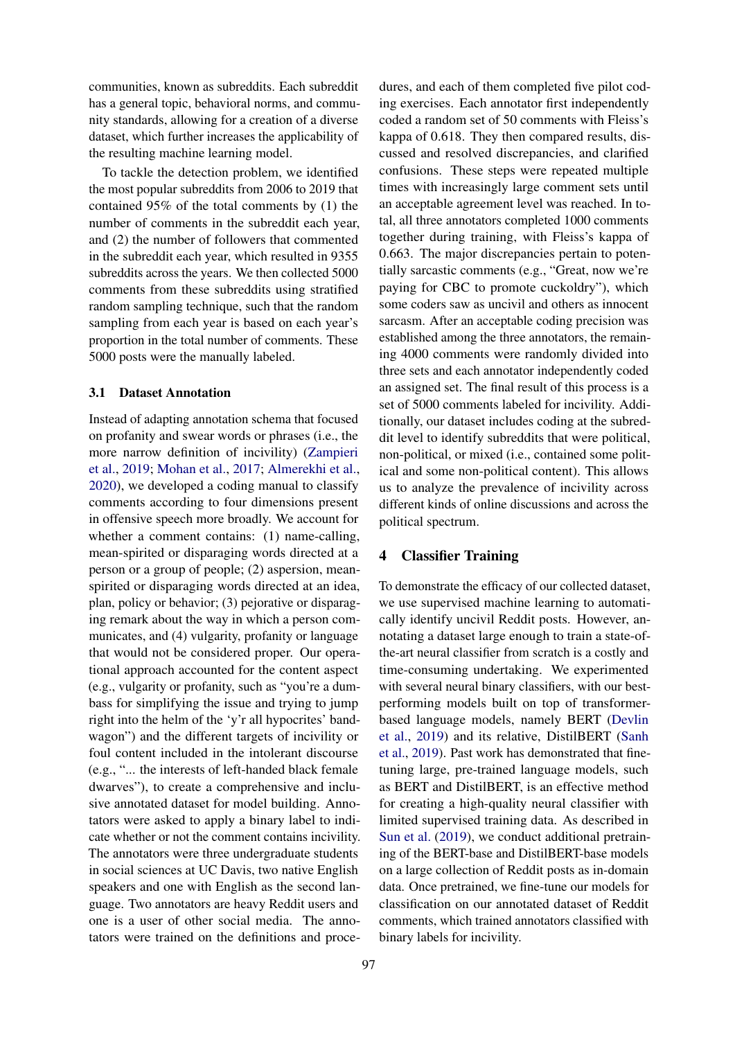communities, known as subreddits. Each subreddit has a general topic, behavioral norms, and community standards, allowing for a creation of a diverse dataset, which further increases the applicability of the resulting machine learning model.

To tackle the detection problem, we identified the most popular subreddits from 2006 to 2019 that contained 95% of the total comments by (1) the number of comments in the subreddit each year, and (2) the number of followers that commented in the subreddit each year, which resulted in 9355 subreddits across the years. We then collected 5000 comments from these subreddits using stratified random sampling technique, such that the random sampling from each year is based on each year's proportion in the total number of comments. These 5000 posts were the manually labeled.

#### 3.1 Dataset Annotation

Instead of adapting annotation schema that focused on profanity and swear words or phrases (i.e., the more narrow definition of incivility) [\(Zampieri](#page-6-15) [et al.,](#page-6-15) [2019;](#page-6-15) [Mohan et al.,](#page-5-16) [2017;](#page-5-16) [Almerekhi et al.,](#page-5-17) [2020\)](#page-5-17), we developed a coding manual to classify comments according to four dimensions present in offensive speech more broadly. We account for whether a comment contains: (1) name-calling, mean-spirited or disparaging words directed at a person or a group of people; (2) aspersion, meanspirited or disparaging words directed at an idea, plan, policy or behavior; (3) pejorative or disparaging remark about the way in which a person communicates, and (4) vulgarity, profanity or language that would not be considered proper. Our operational approach accounted for the content aspect (e.g., vulgarity or profanity, such as "you're a dumbass for simplifying the issue and trying to jump right into the helm of the 'y'r all hypocrites' bandwagon") and the different targets of incivility or foul content included in the intolerant discourse (e.g., "... the interests of left-handed black female dwarves"), to create a comprehensive and inclusive annotated dataset for model building. Annotators were asked to apply a binary label to indicate whether or not the comment contains incivility. The annotators were three undergraduate students in social sciences at UC Davis, two native English speakers and one with English as the second language. Two annotators are heavy Reddit users and one is a user of other social media. The annotators were trained on the definitions and proce-

dures, and each of them completed five pilot coding exercises. Each annotator first independently coded a random set of 50 comments with Fleiss's kappa of 0.618. They then compared results, discussed and resolved discrepancies, and clarified confusions. These steps were repeated multiple times with increasingly large comment sets until an acceptable agreement level was reached. In total, all three annotators completed 1000 comments together during training, with Fleiss's kappa of 0.663. The major discrepancies pertain to potentially sarcastic comments (e.g., "Great, now we're paying for CBC to promote cuckoldry"), which some coders saw as uncivil and others as innocent sarcasm. After an acceptable coding precision was established among the three annotators, the remaining 4000 comments were randomly divided into three sets and each annotator independently coded an assigned set. The final result of this process is a set of 5000 comments labeled for incivility. Additionally, our dataset includes coding at the subreddit level to identify subreddits that were political, non-political, or mixed (i.e., contained some political and some non-political content). This allows us to analyze the prevalence of incivility across different kinds of online discussions and across the political spectrum.

### 4 Classifier Training

To demonstrate the efficacy of our collected dataset, we use supervised machine learning to automatically identify uncivil Reddit posts. However, annotating a dataset large enough to train a state-ofthe-art neural classifier from scratch is a costly and time-consuming undertaking. We experimented with several neural binary classifiers, with our bestperforming models built on top of transformerbased language models, namely BERT [\(Devlin](#page-5-13) [et al.,](#page-5-13) [2019\)](#page-5-13) and its relative, DistilBERT [\(Sanh](#page-6-16) [et al.,](#page-6-16) [2019\)](#page-6-16). Past work has demonstrated that finetuning large, pre-trained language models, such as BERT and DistilBERT, is an effective method for creating a high-quality neural classifier with limited supervised training data. As described in [Sun et al.](#page-6-17) [\(2019\)](#page-6-17), we conduct additional pretraining of the BERT-base and DistilBERT-base models on a large collection of Reddit posts as in-domain data. Once pretrained, we fine-tune our models for classification on our annotated dataset of Reddit comments, which trained annotators classified with binary labels for incivility.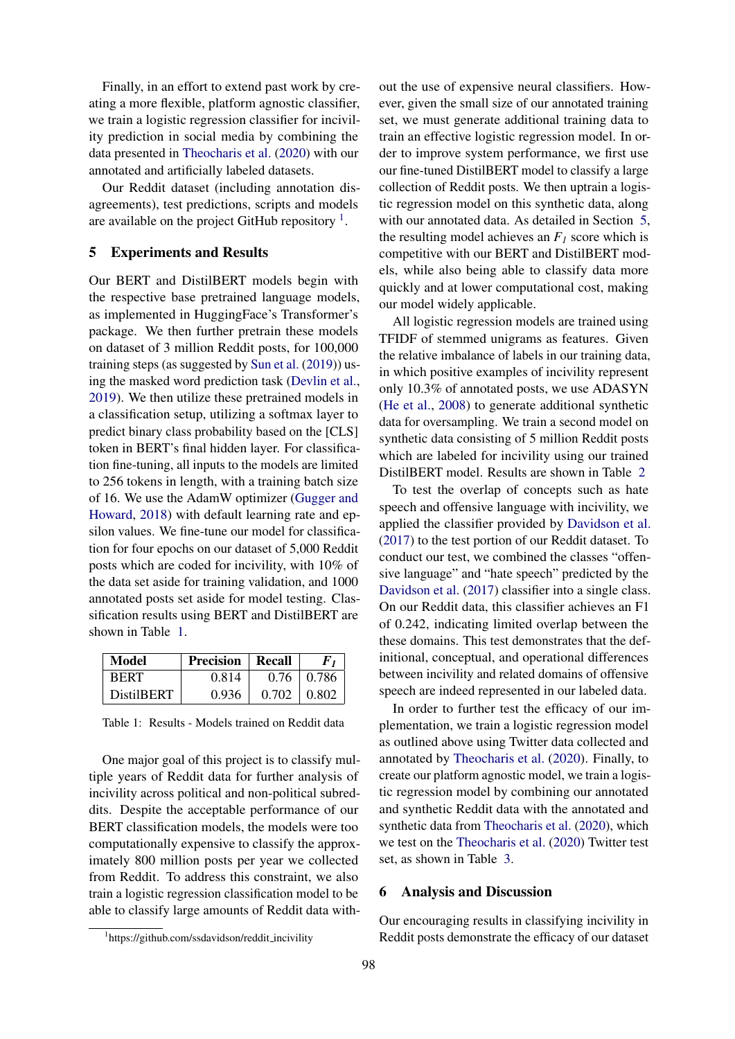Finally, in an effort to extend past work by creating a more flexible, platform agnostic classifier, we train a logistic regression classifier for incivility prediction in social media by combining the data presented in [Theocharis et al.](#page-6-7) [\(2020\)](#page-6-7) with our annotated and artificially labeled datasets.

Our Reddit dataset (including annotation disagreements), test predictions, scripts and models are available on the project GitHub repository  $<sup>1</sup>$  $<sup>1</sup>$  $<sup>1</sup>$ .</sup>

#### <span id="page-3-2"></span>5 Experiments and Results

Our BERT and DistilBERT models begin with the respective base pretrained language models, as implemented in HuggingFace's Transformer's package. We then further pretrain these models on dataset of 3 million Reddit posts, for 100,000 training steps (as suggested by [Sun et al.](#page-6-17) [\(2019\)](#page-6-17)) using the masked word prediction task [\(Devlin et al.,](#page-5-13) [2019\)](#page-5-13). We then utilize these pretrained models in a classification setup, utilizing a softmax layer to predict binary class probability based on the [CLS] token in BERT's final hidden layer. For classification fine-tuning, all inputs to the models are limited to 256 tokens in length, with a training batch size of 16. We use the AdamW optimizer [\(Gugger and](#page-5-18) [Howard,](#page-5-18) [2018\)](#page-5-18) with default learning rate and epsilon values. We fine-tune our model for classification for four epochs on our dataset of 5,000 Reddit posts which are coded for incivility, with 10% of the data set aside for training validation, and 1000 annotated posts set aside for model testing. Classification results using BERT and DistilBERT are shown in Table [1.](#page-3-1)

<span id="page-3-1"></span>

| Model             | <b>Precision</b> | Recall |       |
|-------------------|------------------|--------|-------|
| <b>BERT</b>       | 0.814            | 0.76   | 0.786 |
| <b>DistilBERT</b> | 0.936            | 0.702  | 0.802 |

Table 1: Results - Models trained on Reddit data

One major goal of this project is to classify multiple years of Reddit data for further analysis of incivility across political and non-political subreddits. Despite the acceptable performance of our BERT classification models, the models were too computationally expensive to classify the approximately 800 million posts per year we collected from Reddit. To address this constraint, we also train a logistic regression classification model to be able to classify large amounts of Reddit data with-

out the use of expensive neural classifiers. However, given the small size of our annotated training set, we must generate additional training data to train an effective logistic regression model. In order to improve system performance, we first use our fine-tuned DistilBERT model to classify a large collection of Reddit posts. We then uptrain a logistic regression model on this synthetic data, along with our annotated data. As detailed in Section [5,](#page-3-2) the resulting model achieves an  $F_I$  score which is competitive with our BERT and DistilBERT models, while also being able to classify data more quickly and at lower computational cost, making our model widely applicable.

All logistic regression models are trained using TFIDF of stemmed unigrams as features. Given the relative imbalance of labels in our training data, in which positive examples of incivility represent only 10.3% of annotated posts, we use ADASYN [\(He et al.,](#page-5-19) [2008\)](#page-5-19) to generate additional synthetic data for oversampling. We train a second model on synthetic data consisting of 5 million Reddit posts which are labeled for incivility using our trained DistilBERT model. Results are shown in Table [2](#page-4-0)

To test the overlap of concepts such as hate speech and offensive language with incivility, we applied the classifier provided by [Davidson et al.](#page-5-20) [\(2017\)](#page-5-20) to the test portion of our Reddit dataset. To conduct our test, we combined the classes "offensive language" and "hate speech" predicted by the [Davidson et al.](#page-5-20) [\(2017\)](#page-5-20) classifier into a single class. On our Reddit data, this classifier achieves an F1 of 0.242, indicating limited overlap between the these domains. This test demonstrates that the definitional, conceptual, and operational differences between incivility and related domains of offensive speech are indeed represented in our labeled data.

In order to further test the efficacy of our implementation, we train a logistic regression model as outlined above using Twitter data collected and annotated by [Theocharis et al.](#page-6-7) [\(2020\)](#page-6-7). Finally, to create our platform agnostic model, we train a logistic regression model by combining our annotated and synthetic Reddit data with the annotated and synthetic data from [Theocharis et al.](#page-6-7) [\(2020\)](#page-6-7), which we test on the [Theocharis et al.](#page-6-7) [\(2020\)](#page-6-7) Twitter test set, as shown in Table [3.](#page-4-1)

## 6 Analysis and Discussion

Our encouraging results in classifying incivility in Reddit posts demonstrate the efficacy of our dataset

<span id="page-3-0"></span><sup>&</sup>lt;sup>1</sup>https://github.com/ssdavidson/reddit\_incivility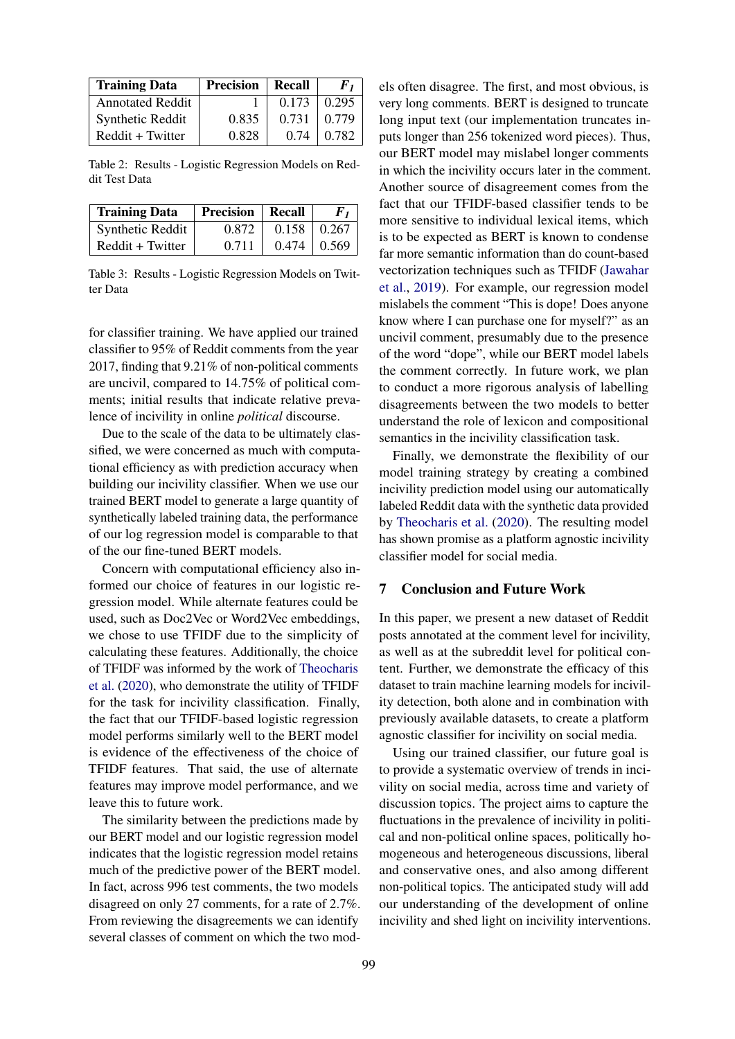<span id="page-4-0"></span>

| <b>Training Data</b>    | <b>Precision</b> | Recall | F1    |
|-------------------------|------------------|--------|-------|
| <b>Annotated Reddit</b> |                  | 0.173  | 0.295 |
| Synthetic Reddit        | 0.835            | 0.731  | 0.779 |
| Reddit + Twitter        | 0.828            | 0.74   | 0.782 |

Table 2: Results - Logistic Regression Models on Reddit Test Data

<span id="page-4-1"></span>

| <b>Training Data</b> | <b>Precision</b>   Recall |       | $\bm{F}_{\bm{I}}$ |
|----------------------|---------------------------|-------|-------------------|
| Synthetic Reddit     | 0.872                     | 0.158 | 0.267             |
| Reddit + Twitter     | 0.711                     | 0.474 | 10.569            |

Table 3: Results - Logistic Regression Models on Twitter Data

for classifier training. We have applied our trained classifier to 95% of Reddit comments from the year 2017, finding that 9.21% of non-political comments are uncivil, compared to 14.75% of political comments; initial results that indicate relative prevalence of incivility in online *political* discourse.

Due to the scale of the data to be ultimately classified, we were concerned as much with computational efficiency as with prediction accuracy when building our incivility classifier. When we use our trained BERT model to generate a large quantity of synthetically labeled training data, the performance of our log regression model is comparable to that of the our fine-tuned BERT models.

Concern with computational efficiency also informed our choice of features in our logistic regression model. While alternate features could be used, such as Doc2Vec or Word2Vec embeddings, we chose to use TFIDF due to the simplicity of calculating these features. Additionally, the choice of TFIDF was informed by the work of [Theocharis](#page-6-7) [et al.](#page-6-7) [\(2020\)](#page-6-7), who demonstrate the utility of TFIDF for the task for incivility classification. Finally, the fact that our TFIDF-based logistic regression model performs similarly well to the BERT model is evidence of the effectiveness of the choice of TFIDF features. That said, the use of alternate features may improve model performance, and we leave this to future work.

The similarity between the predictions made by our BERT model and our logistic regression model indicates that the logistic regression model retains much of the predictive power of the BERT model. In fact, across 996 test comments, the two models disagreed on only 27 comments, for a rate of 2.7%. From reviewing the disagreements we can identify several classes of comment on which the two models often disagree. The first, and most obvious, is very long comments. BERT is designed to truncate long input text (our implementation truncates inputs longer than 256 tokenized word pieces). Thus, our BERT model may mislabel longer comments in which the incivility occurs later in the comment. Another source of disagreement comes from the fact that our TFIDF-based classifier tends to be more sensitive to individual lexical items, which is to be expected as BERT is known to condense far more semantic information than do count-based vectorization techniques such as TFIDF [\(Jawahar](#page-5-21) [et al.,](#page-5-21) [2019\)](#page-5-21). For example, our regression model mislabels the comment "This is dope! Does anyone know where I can purchase one for myself?" as an uncivil comment, presumably due to the presence of the word "dope", while our BERT model labels the comment correctly. In future work, we plan to conduct a more rigorous analysis of labelling disagreements between the two models to better understand the role of lexicon and compositional semantics in the incivility classification task.

Finally, we demonstrate the flexibility of our model training strategy by creating a combined incivility prediction model using our automatically labeled Reddit data with the synthetic data provided by [Theocharis et al.](#page-6-7) [\(2020\)](#page-6-7). The resulting model has shown promise as a platform agnostic incivility classifier model for social media.

# 7 Conclusion and Future Work

In this paper, we present a new dataset of Reddit posts annotated at the comment level for incivility, as well as at the subreddit level for political content. Further, we demonstrate the efficacy of this dataset to train machine learning models for incivility detection, both alone and in combination with previously available datasets, to create a platform agnostic classifier for incivility on social media.

Using our trained classifier, our future goal is to provide a systematic overview of trends in incivility on social media, across time and variety of discussion topics. The project aims to capture the fluctuations in the prevalence of incivility in political and non-political online spaces, politically homogeneous and heterogeneous discussions, liberal and conservative ones, and also among different non-political topics. The anticipated study will add our understanding of the development of online incivility and shed light on incivility interventions.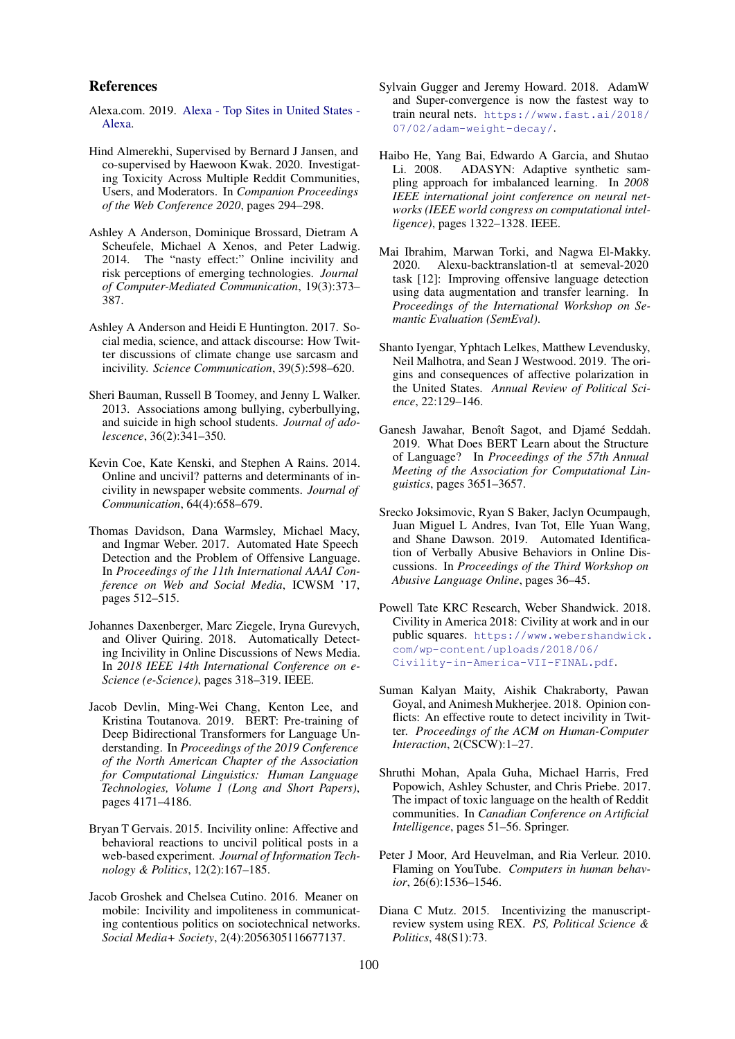#### References

- <span id="page-5-15"></span>Alexa.com. 2019. [Alexa - Top Sites in United States -](https://www.alexa.com/topsites/countries/US) [Alexa.](https://www.alexa.com/topsites/countries/US)
- <span id="page-5-17"></span>Hind Almerekhi, Supervised by Bernard J Jansen, and co-supervised by Haewoon Kwak. 2020. Investigating Toxicity Across Multiple Reddit Communities, Users, and Moderators. In *Companion Proceedings of the Web Conference 2020*, pages 294–298.
- <span id="page-5-5"></span>Ashley A Anderson, Dominique Brossard, Dietram A Scheufele, Michael A Xenos, and Peter Ladwig. 2014. The "nasty effect:" Online incivility and risk perceptions of emerging technologies. *Journal of Computer-Mediated Communication*, 19(3):373– 387.
- <span id="page-5-8"></span>Ashley A Anderson and Heidi E Huntington. 2017. Social media, science, and attack discourse: How Twitter discussions of climate change use sarcasm and incivility. *Science Communication*, 39(5):598–620.
- <span id="page-5-6"></span>Sheri Bauman, Russell B Toomey, and Jenny L Walker. 2013. Associations among bullying, cyberbullying, and suicide in high school students. *Journal of adolescence*, 36(2):341–350.
- <span id="page-5-1"></span>Kevin Coe, Kate Kenski, and Stephen A Rains. 2014. Online and uncivil? patterns and determinants of incivility in newspaper website comments. *Journal of Communication*, 64(4):658–679.
- <span id="page-5-20"></span>Thomas Davidson, Dana Warmsley, Michael Macy, and Ingmar Weber. 2017. Automated Hate Speech Detection and the Problem of Offensive Language. In *Proceedings of the 11th International AAAI Conference on Web and Social Media*, ICWSM '17, pages 512–515.
- <span id="page-5-10"></span>Johannes Daxenberger, Marc Ziegele, Iryna Gurevych, and Oliver Quiring. 2018. Automatically Detecting Incivility in Online Discussions of News Media. In *2018 IEEE 14th International Conference on e-Science (e-Science)*, pages 318–319. IEEE.
- <span id="page-5-13"></span>Jacob Devlin, Ming-Wei Chang, Kenton Lee, and Kristina Toutanova. 2019. BERT: Pre-training of Deep Bidirectional Transformers for Language Understanding. In *Proceedings of the 2019 Conference of the North American Chapter of the Association for Computational Linguistics: Human Language Technologies, Volume 1 (Long and Short Papers)*, pages 4171–4186.
- <span id="page-5-3"></span>Bryan T Gervais. 2015. Incivility online: Affective and behavioral reactions to uncivil political posts in a web-based experiment. *Journal of Information Technology & Politics*, 12(2):167–185.
- <span id="page-5-4"></span>Jacob Groshek and Chelsea Cutino. 2016. Meaner on mobile: Incivility and impoliteness in communicating contentious politics on sociotechnical networks. *Social Media+ Society*, 2(4):2056305116677137.
- <span id="page-5-18"></span>Sylvain Gugger and Jeremy Howard. 2018. AdamW and Super-convergence is now the fastest way to train neural nets. [https://www.fast.ai/2018/](https://www.fast.ai/2018/07/02/adam-weight-decay/) [07/02/adam-weight-decay/](https://www.fast.ai/2018/07/02/adam-weight-decay/).
- <span id="page-5-19"></span>Haibo He, Yang Bai, Edwardo A Garcia, and Shutao Li. 2008. ADASYN: Adaptive synthetic sampling approach for imbalanced learning. In *2008 IEEE international joint conference on neural networks (IEEE world congress on computational intelligence)*, pages 1322–1328. IEEE.
- <span id="page-5-14"></span>Mai Ibrahim, Marwan Torki, and Nagwa El-Makky. 2020. Alexu-backtranslation-tl at semeval-2020 task [12]: Improving offensive language detection using data augmentation and transfer learning. In *Proceedings of the International Workshop on Semantic Evaluation (SemEval)*.
- <span id="page-5-0"></span>Shanto Iyengar, Yphtach Lelkes, Matthew Levendusky, Neil Malhotra, and Sean J Westwood. 2019. The origins and consequences of affective polarization in the United States. *Annual Review of Political Science*, 22:129–146.
- <span id="page-5-21"></span>Ganesh Jawahar, Benoît Sagot, and Djamé Seddah. 2019. What Does BERT Learn about the Structure of Language? In *Proceedings of the 57th Annual Meeting of the Association for Computational Linguistics*, pages 3651–3657.
- <span id="page-5-12"></span>Srecko Joksimovic, Ryan S Baker, Jaclyn Ocumpaugh, Juan Miguel L Andres, Ivan Tot, Elle Yuan Wang, and Shane Dawson. 2019. Automated Identification of Verbally Abusive Behaviors in Online Discussions. In *Proceedings of the Third Workshop on Abusive Language Online*, pages 36–45.
- <span id="page-5-2"></span>Powell Tate KRC Research, Weber Shandwick. 2018. Civility in America 2018: Civility at work and in our public squares. [https://www.webershandwick.](https://www.webershandwick.com/wp-content/uploads/2018/06/Civility-in-America-VII-FINAL.pdf) [com/wp-content/uploads/2018/06/](https://www.webershandwick.com/wp-content/uploads/2018/06/Civility-in-America-VII-FINAL.pdf) [Civility-in-America-VII-FINAL.pdf](https://www.webershandwick.com/wp-content/uploads/2018/06/Civility-in-America-VII-FINAL.pdf).
- <span id="page-5-11"></span>Suman Kalyan Maity, Aishik Chakraborty, Pawan Goyal, and Animesh Mukherjee. 2018. Opinion conflicts: An effective route to detect incivility in Twitter. *Proceedings of the ACM on Human-Computer Interaction*, 2(CSCW):1–27.
- <span id="page-5-16"></span>Shruthi Mohan, Apala Guha, Michael Harris, Fred Popowich, Ashley Schuster, and Chris Priebe. 2017. The impact of toxic language on the health of Reddit communities. In *Canadian Conference on Artificial Intelligence*, pages 51–56. Springer.
- <span id="page-5-7"></span>Peter J Moor, Ard Heuvelman, and Ria Verleur. 2010. Flaming on YouTube. *Computers in human behavior*, 26(6):1536–1546.
- <span id="page-5-9"></span>Diana C Mutz. 2015. Incentivizing the manuscriptreview system using REX. *PS, Political Science & Politics*, 48(S1):73.